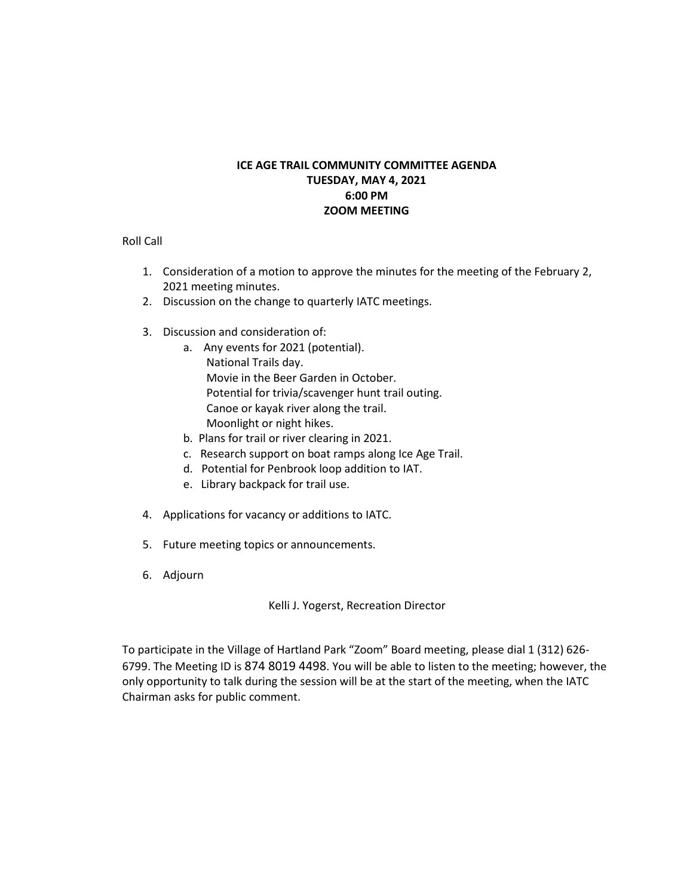#### **ICE AGE TRAIL COMMUNITY COMMITTEE AGENDA TUESDAY, MAY 4, 2021 6:00 PM ZOOM MEETING**

Roll Call

- 1. Consideration of a motion to approve the minutes for the meeting of the February 2, 2021 meeting minutes.
- 2. Discussion on the change to quarterly IATC meetings.
- 3. Discussion and consideration of:
	- a. Any events for 2021 (potential). National Trails day. Movie in the Beer Garden in October. Potential for trivia/scavenger hunt trail outing. Canoe or kayak river along the trail. Moonlight or night hikes.
	- b. Plans for trail or river clearing in 2021.
	- c. Research support on boat ramps along Ice Age Trail.
	- d. Potential for Penbrook loop addition to IAT.
	- e. Library backpack for trail use.
- 4. Applications for vacancy or additions to IATC.
- 5. Future meeting topics or announcements.
- 6. Adjourn

Kelli J. Yogerst, Recreation Director

To participate in the Village of Hartland Park "Zoom" Board meeting, please dial 1 (312) 626- 6799. The Meeting ID is 874 8019 4498. You will be able to listen to the meeting; however, the only opportunity to talk during the session will be at the start of the meeting, when the IATC Chairman asks for public comment.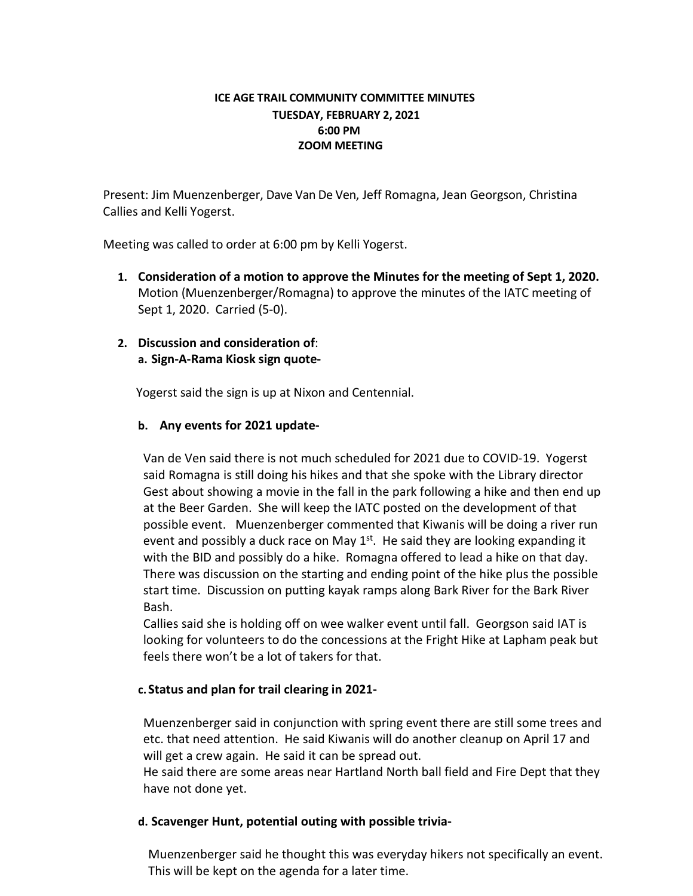### **ICE AGE TRAIL COMMUNITY COMMITTEE MINUTES TUESDAY, FEBRUARY 2, 2021 6:00 PM ZOOM MEETING**

Present: Jim Muenzenberger, Dave Van De Ven, Jeff Romagna, Jean Georgson, Christina Callies and Kelli Yogerst.

Meeting was called to order at 6:00 pm by Kelli Yogerst.

**1. Consideration of a motion to approve the Minutes for the meeting of Sept 1, 2020.** Motion (Muenzenberger/Romagna) to approve the minutes of the IATC meeting of Sept 1, 2020. Carried (5-0).

# **2. Discussion and consideration of**: **a. Sign-A-Rama Kiosk sign quote-**

Yogerst said the sign is up at Nixon and Centennial.

# **b. Any events for 2021 update-**

Van de Ven said there is not much scheduled for 2021 due to COVID-19. Yogerst said Romagna is still doing his hikes and that she spoke with the Library director Gest about showing a movie in the fall in the park following a hike and then end up at the Beer Garden. She will keep the IATC posted on the development of that possible event. Muenzenberger commented that Kiwanis will be doing a river run event and possibly a duck race on May  $1<sup>st</sup>$ . He said they are looking expanding it with the BID and possibly do a hike. Romagna offered to lead a hike on that day. There was discussion on the starting and ending point of the hike plus the possible start time. Discussion on putting kayak ramps along Bark River for the Bark River Bash.

Callies said she is holding off on wee walker event until fall. Georgson said IAT is looking for volunteers to do the concessions at the Fright Hike at Lapham peak but feels there won't be a lot of takers for that.

# **c. Status and plan for trail clearing in 2021-**

Muenzenberger said in conjunction with spring event there are still some trees and etc. that need attention. He said Kiwanis will do another cleanup on April 17 and will get a crew again. He said it can be spread out.

He said there are some areas near Hartland North ball field and Fire Dept that they have not done yet.

# **d. Scavenger Hunt, potential outing with possible trivia-**

Muenzenberger said he thought this was everyday hikers not specifically an event. This will be kept on the agenda for a later time.